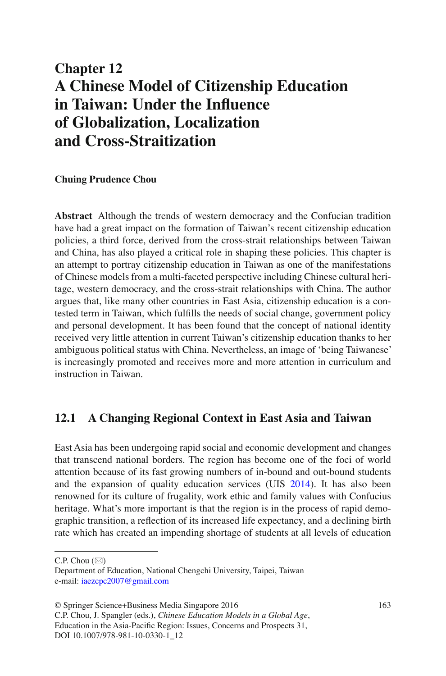# **Chapter 12 A Chinese Model of Citizenship Education in Taiwan: Under the Influence of Globalization, Localization and Cross-Straitization**

#### **Chuing Prudence Chou**

 **Abstract** Although the trends of western democracy and the Confucian tradition have had a great impact on the formation of Taiwan's recent citizenship education policies, a third force, derived from the cross-strait relationships between Taiwan and China, has also played a critical role in shaping these policies. This chapter is an attempt to portray citizenship education in Taiwan as one of the manifestations of Chinese models from a multi-faceted perspective including Chinese cultural heritage, western democracy, and the cross-strait relationships with China. The author argues that, like many other countries in East Asia, citizenship education is a contested term in Taiwan, which fulfills the needs of social change, government policy and personal development. It has been found that the concept of national identity received very little attention in current Taiwan's citizenship education thanks to her ambiguous political status with China. Nevertheless, an image of 'being Taiwanese' is increasingly promoted and receives more and more attention in curriculum and instruction in Taiwan.

### **12.1 A Changing Regional Context in East Asia and Taiwan**

 East Asia has been undergoing rapid social and economic development and changes that transcend national borders. The region has become one of the foci of world attention because of its fast growing numbers of in-bound and out-bound students and the expansion of quality education services (UIS [2014](#page-12-0)). It has also been renowned for its culture of frugality, work ethic and family values with Confucius heritage. What's more important is that the region is in the process of rapid demographic transition, a reflection of its increased life expectancy, and a declining birth rate which has created an impending shortage of students at all levels of education

C.P. Chou  $(\boxtimes)$ 

Department of Education, National Chengchi University, Taipei, Taiwan e-mail: [iaezcpc2007@gmail.com](mailto:iaezcpc2007@gmail.com)

<sup>©</sup> Springer Science+Business Media Singapore 2016 163

C.P. Chou, J. Spangler (eds.), *Chinese Education Models in a Global Age*, Education in the Asia-Pacific Region: Issues, Concerns and Prospects 31, DOI 10.1007/978-981-10-0330-1\_12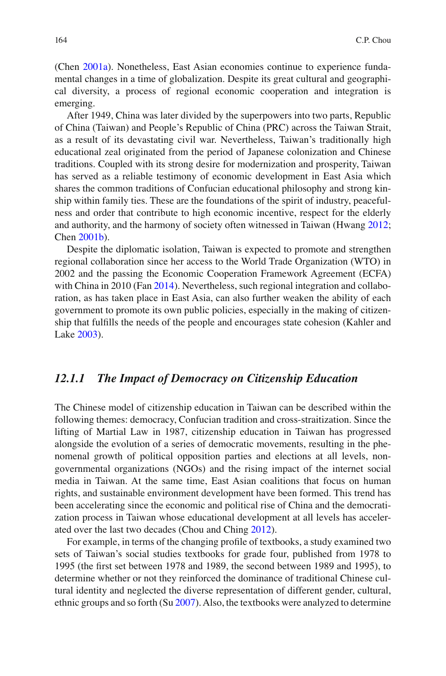(Chen [2001a](#page-11-0)). Nonetheless, East Asian economies continue to experience fundamental changes in a time of globalization. Despite its great cultural and geographical diversity, a process of regional economic cooperation and integration is emerging.

 After 1949, China was later divided by the superpowers into two parts, Republic of China (Taiwan) and People's Republic of China (PRC) across the Taiwan Strait, as a result of its devastating civil war. Nevertheless, Taiwan's traditionally high educational zeal originated from the period of Japanese colonization and Chinese traditions. Coupled with its strong desire for modernization and prosperity, Taiwan has served as a reliable testimony of economic development in East Asia which shares the common traditions of Confucian educational philosophy and strong kinship within family ties. These are the foundations of the spirit of industry, peacefulness and order that contribute to high economic incentive, respect for the elderly and authority, and the harmony of society often witnessed in Taiwan (Hwang 2012; Chen  $2001<sub>b</sub>$ ).

 Despite the diplomatic isolation, Taiwan is expected to promote and strengthen regional collaboration since her access to the World Trade Organization (WTO) in 2002 and the passing the Economic Cooperation Framework Agreement (ECFA) with China in 2010 (Fan 2014). Nevertheless, such regional integration and collaboration, as has taken place in East Asia, can also further weaken the ability of each government to promote its own public policies, especially in the making of citizenship that fulfills the needs of the people and encourages state cohesion (Kahler and Lake [2003](#page-11-0)).

#### *12.1.1 The Impact of Democracy on Citizenship Education*

 The Chinese model of citizenship education in Taiwan can be described within the following themes: democracy, Confucian tradition and cross-straitization. Since the lifting of Martial Law in 1987, citizenship education in Taiwan has progressed alongside the evolution of a series of democratic movements, resulting in the phenomenal growth of political opposition parties and elections at all levels, nongovernmental organizations (NGOs) and the rising impact of the internet social media in Taiwan. At the same time, East Asian coalitions that focus on human rights, and sustainable environment development have been formed. This trend has been accelerating since the economic and political rise of China and the democratization process in Taiwan whose educational development at all levels has acceler-ated over the last two decades (Chou and Ching [2012](#page-11-0)).

For example, in terms of the changing profile of textbooks, a study examined two sets of Taiwan's social studies textbooks for grade four, published from 1978 to 1995 (the first set between 1978 and 1989, the second between 1989 and 1995), to determine whether or not they reinforced the dominance of traditional Chinese cultural identity and neglected the diverse representation of different gender, cultural, ethnic groups and so forth (Su 2007). Also, the textbooks were analyzed to determine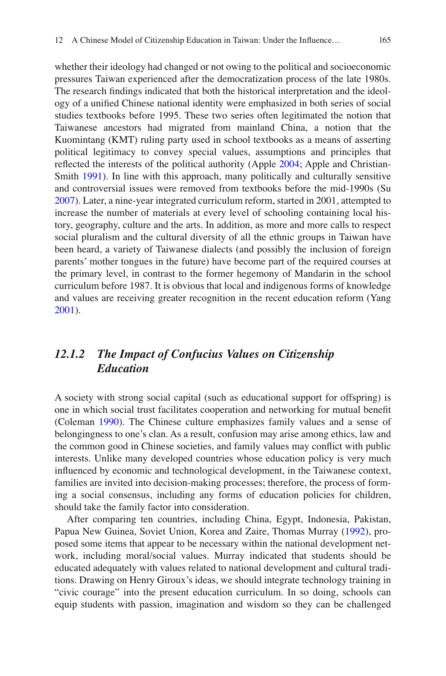whether their ideology had changed or not owing to the political and socioeconomic pressures Taiwan experienced after the democratization process of the late 1980s. The research findings indicated that both the historical interpretation and the ideology of a unified Chinese national identity were emphasized in both series of social studies textbooks before 1995. These two series often legitimated the notion that Taiwanese ancestors had migrated from mainland China, a notion that the Kuomintang (KMT) ruling party used in school textbooks as a means of asserting political legitimacy to convey special values, assumptions and principles that reflected the interests of the political authority (Apple [2004](#page-11-0); Apple and Christian-Smith [1991](#page-11-0)). In line with this approach, many politically and culturally sensitive and controversial issues were removed from textbooks before the mid-1990s (Su [2007 \)](#page-12-0). Later, a nine-year integrated curriculum reform, started in 2001, attempted to increase the number of materials at every level of schooling containing local history, geography, culture and the arts. In addition, as more and more calls to respect social pluralism and the cultural diversity of all the ethnic groups in Taiwan have been heard, a variety of Taiwanese dialects (and possibly the inclusion of foreign parents' mother tongues in the future) have become part of the required courses at the primary level, in contrast to the former hegemony of Mandarin in the school curriculum before 1987. It is obvious that local and indigenous forms of knowledge and values are receiving greater recognition in the recent education reform (Yang  $2001$ ).

# *12.1.2 The Impact of Confucius Values on Citizenship Education*

 A society with strong social capital (such as educational support for offspring) is one in which social trust facilitates cooperation and networking for mutual benefit (Coleman [1990](#page-11-0)). The Chinese culture emphasizes family values and a sense of belongingness to one's clan. As a result, confusion may arise among ethics, law and the common good in Chinese societies, and family values may conflict with public interests. Unlike many developed countries whose education policy is very much influenced by economic and technological development, in the Taiwanese context, families are invited into decision-making processes; therefore, the process of forming a social consensus, including any forms of education policies for children, should take the family factor into consideration.

 After comparing ten countries, including China, Egypt, Indonesia, Pakistan, Papua New Guinea, Soviet Union, Korea and Zaire, Thomas Murray (1992), proposed some items that appear to be necessary within the national development network, including moral/social values. Murray indicated that students should be educated adequately with values related to national development and cultural traditions. Drawing on Henry Giroux's ideas, we should integrate technology training in "civic courage" into the present education curriculum. In so doing, schools can equip students with passion, imagination and wisdom so they can be challenged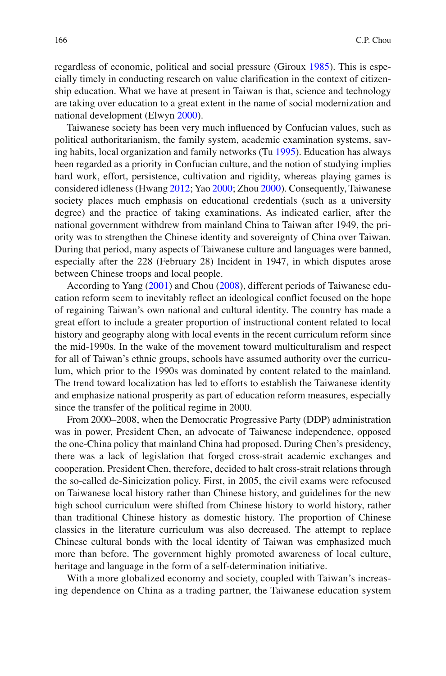regardless of economic, political and social pressure (Giroux 1985). This is especially timely in conducting research on value clarification in the context of citizenship education. What we have at present in Taiwan is that, science and technology are taking over education to a great extent in the name of social modernization and national development (Elwyn 2000).

Taiwanese society has been very much influenced by Confucian values, such as political authoritarianism, the family system, academic examination systems, saving habits, local organization and family networks (Tu [1995](#page-12-0) ). Education has always been regarded as a priority in Confucian culture, and the notion of studying implies hard work, effort, persistence, cultivation and rigidity, whereas playing games is considered idleness (Hwang [2012](#page-11-0); Yao [2000](#page-12-0); Zhou 2000). Consequently, Taiwanese society places much emphasis on educational credentials (such as a university degree) and the practice of taking examinations. As indicated earlier, after the national government withdrew from mainland China to Taiwan after 1949, the priority was to strengthen the Chinese identity and sovereignty of China over Taiwan. During that period, many aspects of Taiwanese culture and languages were banned, especially after the 228 (February 28) Incident in 1947, in which disputes arose between Chinese troops and local people.

According to Yang (2001) and Chou (2008), different periods of Taiwanese education reform seem to inevitably reflect an ideological conflict focused on the hope of regaining Taiwan's own national and cultural identity. The country has made a great effort to include a greater proportion of instructional content related to local history and geography along with local events in the recent curriculum reform since the mid-1990s. In the wake of the movement toward multiculturalism and respect for all of Taiwan's ethnic groups, schools have assumed authority over the curriculum, which prior to the 1990s was dominated by content related to the mainland. The trend toward localization has led to efforts to establish the Taiwanese identity and emphasize national prosperity as part of education reform measures, especially since the transfer of the political regime in 2000.

 From 2000–2008, when the Democratic Progressive Party (DDP) administration was in power, President Chen, an advocate of Taiwanese independence, opposed the one-China policy that mainland China had proposed. During Chen's presidency, there was a lack of legislation that forged cross-strait academic exchanges and cooperation. President Chen, therefore, decided to halt cross-strait relations through the so-called de-Sinicization policy. First, in 2005, the civil exams were refocused on Taiwanese local history rather than Chinese history, and guidelines for the new high school curriculum were shifted from Chinese history to world history, rather than traditional Chinese history as domestic history. The proportion of Chinese classics in the literature curriculum was also decreased. The attempt to replace Chinese cultural bonds with the local identity of Taiwan was emphasized much more than before. The government highly promoted awareness of local culture, heritage and language in the form of a self-determination initiative.

 With a more globalized economy and society, coupled with Taiwan's increasing dependence on China as a trading partner, the Taiwanese education system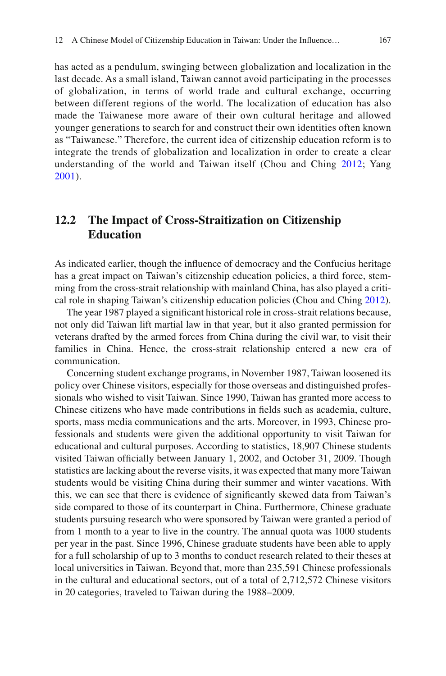has acted as a pendulum, swinging between globalization and localization in the last decade. As a small island, Taiwan cannot avoid participating in the processes of globalization, in terms of world trade and cultural exchange, occurring between different regions of the world. The localization of education has also made the Taiwanese more aware of their own cultural heritage and allowed younger generations to search for and construct their own identities often known as "Taiwanese." Therefore, the current idea of citizenship education reform is to integrate the trends of globalization and localization in order to create a clear understanding of the world and Taiwan itself (Chou and Ching [2012](#page-11-0); Yang 2001).

## **12.2 The Impact of Cross-Straitization on Citizenship Education**

As indicated earlier, though the influence of democracy and the Confucius heritage has a great impact on Taiwan's citizenship education policies, a third force, stemming from the cross-strait relationship with mainland China, has also played a critical role in shaping Taiwan's citizenship education policies (Chou and Ching 2012).

The year 1987 played a significant historical role in cross-strait relations because, not only did Taiwan lift martial law in that year, but it also granted permission for veterans drafted by the armed forces from China during the civil war, to visit their families in China. Hence, the cross-strait relationship entered a new era of communication.

 Concerning student exchange programs, in November 1987, Taiwan loosened its policy over Chinese visitors, especially for those overseas and distinguished professionals who wished to visit Taiwan. Since 1990, Taiwan has granted more access to Chinese citizens who have made contributions in fields such as academia, culture, sports, mass media communications and the arts. Moreover, in 1993, Chinese professionals and students were given the additional opportunity to visit Taiwan for educational and cultural purposes. According to statistics, 18,907 Chinese students visited Taiwan officially between January 1, 2002, and October 31, 2009. Though statistics are lacking about the reverse visits, it was expected that many more Taiwan students would be visiting China during their summer and winter vacations. With this, we can see that there is evidence of significantly skewed data from Taiwan's side compared to those of its counterpart in China. Furthermore, Chinese graduate students pursuing research who were sponsored by Taiwan were granted a period of from 1 month to a year to live in the country. The annual quota was 1000 students per year in the past. Since 1996, Chinese graduate students have been able to apply for a full scholarship of up to 3 months to conduct research related to their theses at local universities in Taiwan. Beyond that, more than 235,591 Chinese professionals in the cultural and educational sectors, out of a total of 2,712,572 Chinese visitors in 20 categories, traveled to Taiwan during the 1988–2009.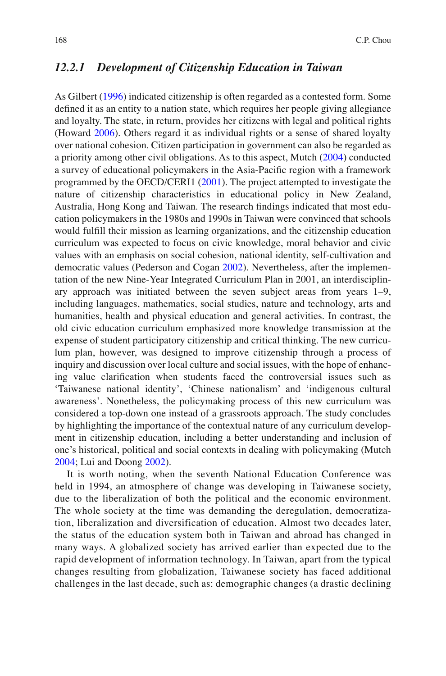#### *12.2.1 Development of Citizenship Education in Taiwan*

As Gilbert (1996) indicated citizenship is often regarded as a contested form. Some defined it as an entity to a nation state, which requires her people giving allegiance and loyalty. The state, in return, provides her citizens with legal and political rights (Howard [2006](#page-11-0)). Others regard it as individual rights or a sense of shared loyalty over national cohesion. Citizen participation in government can also be regarded as a priority among other civil obligations. As to this aspect, Mutch (2004) conducted a survey of educational policymakers in the Asia-Pacifi c region with a framework programmed by the OECD/CERI1 (2001). The project attempted to investigate the nature of citizenship characteristics in educational policy in New Zealand, Australia, Hong Kong and Taiwan. The research findings indicated that most education policymakers in the 1980s and 1990s in Taiwan were convinced that schools would fulfill their mission as learning organizations, and the citizenship education curriculum was expected to focus on civic knowledge, moral behavior and civic values with an emphasis on social cohesion, national identity, self-cultivation and democratic values (Pederson and Cogan 2002). Nevertheless, after the implementation of the new Nine-Year Integrated Curriculum Plan in 2001, an interdisciplinary approach was initiated between the seven subject areas from years 1–9, including languages, mathematics, social studies, nature and technology, arts and humanities, health and physical education and general activities. In contrast, the old civic education curriculum emphasized more knowledge transmission at the expense of student participatory citizenship and critical thinking. The new curriculum plan, however, was designed to improve citizenship through a process of inquiry and discussion over local culture and social issues, with the hope of enhancing value clarification when students faced the controversial issues such as 'Taiwanese national identity', 'Chinese nationalism' and 'indigenous cultural awareness'. Nonetheless, the policymaking process of this new curriculum was considered a top-down one instead of a grassroots approach. The study concludes by highlighting the importance of the contextual nature of any curriculum development in citizenship education, including a better understanding and inclusion of one's historical, political and social contexts in dealing with policymaking (Mutch [2004](#page-12-0); Lui and Doong [2002](#page-11-0)).

 It is worth noting, when the seventh National Education Conference was held in 1994, an atmosphere of change was developing in Taiwanese society, due to the liberalization of both the political and the economic environment. The whole society at the time was demanding the deregulation, democratization, liberalization and diversification of education. Almost two decades later, the status of the education system both in Taiwan and abroad has changed in many ways. A globalized society has arrived earlier than expected due to the rapid development of information technology. In Taiwan, apart from the typical changes resulting from globalization, Taiwanese society has faced additional challenges in the last decade, such as: demographic changes (a drastic declining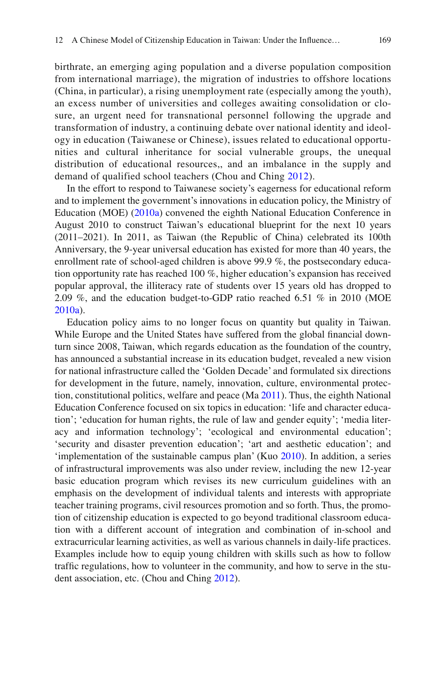birthrate, an emerging aging population and a diverse population composition from international marriage), the migration of industries to offshore locations (China, in particular), a rising unemployment rate (especially among the youth), an excess number of universities and colleges awaiting consolidation or closure, an urgent need for transnational personnel following the upgrade and transformation of industry, a continuing debate over national identity and ideology in education (Taiwanese or Chinese), issues related to educational opportunities and cultural inheritance for social vulnerable groups, the unequal distribution of educational resources,, and an imbalance in the supply and demand of qualified school teachers (Chou and Ching [2012](#page-11-0)).

 In the effort to respond to Taiwanese society's eagerness for educational reform and to implement the government's innovations in education policy, the Ministry of Education (MOE) (2010a) convened the eighth National Education Conference in August 2010 to construct Taiwan's educational blueprint for the next 10 years (2011–2021). In 2011, as Taiwan (the Republic of China) celebrated its 100th Anniversary, the 9-year universal education has existed for more than 40 years, the enrollment rate of school-aged children is above 99.9 %, the postsecondary education opportunity rate has reached 100 %, higher education's expansion has received popular approval, the illiteracy rate of students over 15 years old has dropped to 2.09 %, and the education budget-to-GDP ratio reached 6.51 % in 2010 (MOE  $2010a$ .

 Education policy aims to no longer focus on quantity but quality in Taiwan. While Europe and the United States have suffered from the global financial downturn since 2008, Taiwan, which regards education as the foundation of the country, has announced a substantial increase in its education budget, revealed a new vision for national infrastructure called the 'Golden Decade' and formulated six directions for development in the future, namely, innovation, culture, environmental protection, constitutional politics, welfare and peace (Ma  $2011$ ). Thus, the eighth National Education Conference focused on six topics in education: 'life and character education'; 'education for human rights, the rule of law and gender equity'; 'media literacy and information technology'; 'ecological and environmental education'; 'security and disaster prevention education'; 'art and aesthetic education'; and 'implementation of the sustainable campus plan' (Kuo  $2010$ ). In addition, a series of infrastructural improvements was also under review, including the new 12-year basic education program which revises its new curriculum guidelines with an emphasis on the development of individual talents and interests with appropriate teacher training programs, civil resources promotion and so forth. Thus, the promotion of citizenship education is expected to go beyond traditional classroom education with a different account of integration and combination of in-school and extracurricular learning activities, as well as various channels in daily-life practices. Examples include how to equip young children with skills such as how to follow traffic regulations, how to volunteer in the community, and how to serve in the stu-dent association, etc. (Chou and Ching [2012](#page-11-0)).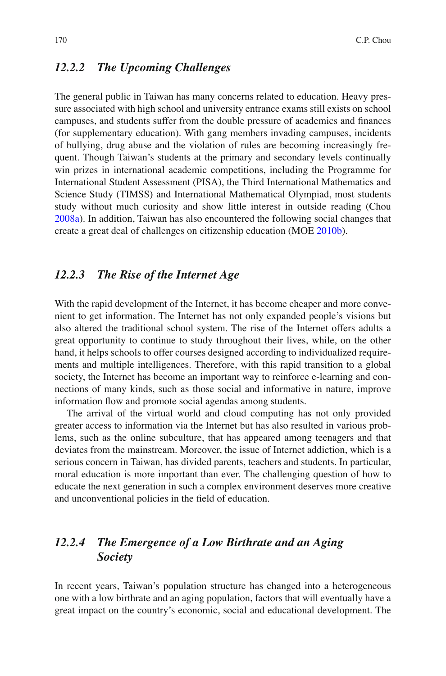#### *12.2.2 The Upcoming Challenges*

 The general public in Taiwan has many concerns related to education. Heavy pressure associated with high school and university entrance exams still exists on school campuses, and students suffer from the double pressure of academics and finances (for supplementary education). With gang members invading campuses, incidents of bullying, drug abuse and the violation of rules are becoming increasingly frequent. Though Taiwan's students at the primary and secondary levels continually win prizes in international academic competitions, including the Programme for International Student Assessment (PISA), the Third International Mathematics and Science Study (TIMSS) and International Mathematical Olympiad, most students study without much curiosity and show little interest in outside reading (Chou [2008a](#page-11-0)). In addition, Taiwan has also encountered the following social changes that create a great deal of challenges on citizenship education (MOE [2010b](#page-12-0)).

## *12.2.3 The Rise of the Internet Age*

 With the rapid development of the Internet, it has become cheaper and more convenient to get information. The Internet has not only expanded people's visions but also altered the traditional school system. The rise of the Internet offers adults a great opportunity to continue to study throughout their lives, while, on the other hand, it helps schools to offer courses designed according to individualized requirements and multiple intelligences. Therefore, with this rapid transition to a global society, the Internet has become an important way to reinforce e-learning and connections of many kinds, such as those social and informative in nature, improve information flow and promote social agendas among students.

 The arrival of the virtual world and cloud computing has not only provided greater access to information via the Internet but has also resulted in various problems, such as the online subculture, that has appeared among teenagers and that deviates from the mainstream. Moreover, the issue of Internet addiction, which is a serious concern in Taiwan, has divided parents, teachers and students. In particular, moral education is more important than ever. The challenging question of how to educate the next generation in such a complex environment deserves more creative and unconventional policies in the field of education.

## *12.2.4 The Emergence of a Low Birthrate and an Aging Society*

 In recent years, Taiwan's population structure has changed into a heterogeneous one with a low birthrate and an aging population, factors that will eventually have a great impact on the country's economic, social and educational development. The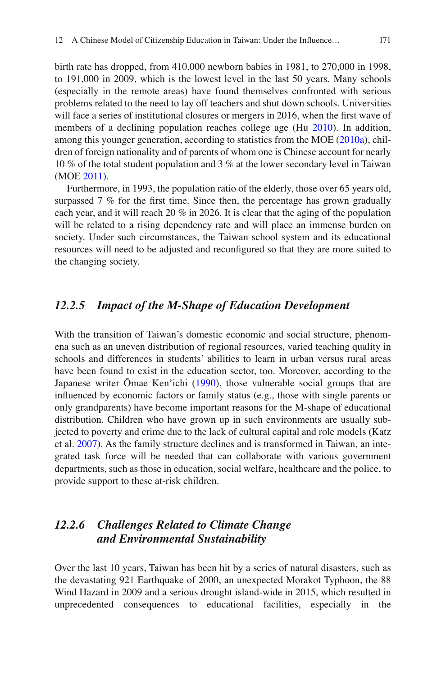birth rate has dropped, from 410,000 newborn babies in 1981, to 270,000 in 1998, to 191,000 in 2009, which is the lowest level in the last 50 years. Many schools (especially in the remote areas) have found themselves confronted with serious problems related to the need to lay off teachers and shut down schools. Universities will face a series of institutional closures or mergers in  $2016$ , when the first wave of members of a declining population reaches college age (Hu 2010). In addition, among this younger generation, according to statistics from the MOE  $(2010a)$ , children of foreign nationality and of parents of whom one is Chinese account for nearly 10 % of the total student population and 3 % at the lower secondary level in Taiwan  $(MOE 2011)$ .

 Furthermore, in 1993, the population ratio of the elderly, those over 65 years old, surpassed  $7\%$  for the first time. Since then, the percentage has grown gradually each year, and it will reach 20  $\%$  in 2026. It is clear that the aging of the population will be related to a rising dependency rate and will place an immense burden on society. Under such circumstances, the Taiwan school system and its educational resources will need to be adjusted and reconfigured so that they are more suited to the changing society.

# *12.2.5 Impact of the M-Shape of Education Development*

 With the transition of Taiwan's domestic economic and social structure, phenomena such as an uneven distribution of regional resources, varied teaching quality in schools and differences in students' abilities to learn in urban versus rural areas have been found to exist in the education sector, too. Moreover, according to the Japanese writer Ōmae Ken'ichi (1990), those vulnerable social groups that are influenced by economic factors or family status (e.g., those with single parents or only grandparents) have become important reasons for the M-shape of educational distribution. Children who have grown up in such environments are usually subjected to poverty and crime due to the lack of cultural capital and role models (Katz et al. 2007). As the family structure declines and is transformed in Taiwan, an integrated task force will be needed that can collaborate with various government departments, such as those in education, social welfare, healthcare and the police, to provide support to these at-risk children.

## *12.2.6 Challenges Related to Climate Change and Environmental Sustainability*

 Over the last 10 years, Taiwan has been hit by a series of natural disasters, such as the devastating 921 Earthquake of 2000, an unexpected Morakot Typhoon, the 88 Wind Hazard in 2009 and a serious drought island-wide in 2015, which resulted in unprecedented consequences to educational facilities, especially in the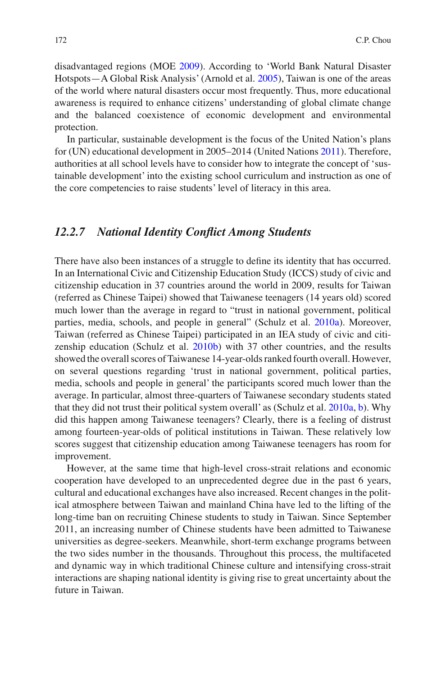disadvantaged regions (MOE 2009). According to 'World Bank Natural Disaster Hotspots—A Global Risk Analysis' (Arnold et al. [2005](#page-11-0) ), Taiwan is one of the areas of the world where natural disasters occur most frequently. Thus, more educational awareness is required to enhance citizens' understanding of global climate change and the balanced coexistence of economic development and environmental protection.

 In particular, sustainable development is the focus of the United Nation's plans for (UN) educational development in 2005–2014 (United Nations 2011). Therefore, authorities at all school levels have to consider how to integrate the concept of 'sustainable development' into the existing school curriculum and instruction as one of the core competencies to raise students' level of literacy in this area.

#### 12.2.7 National Identity Conflict Among Students

There have also been instances of a struggle to define its identity that has occurred. In an International Civic and Citizenship Education Study (ICCS) study of civic and citizenship education in 37 countries around the world in 2009, results for Taiwan (referred as Chinese Taipei) showed that Taiwanese teenagers (14 years old) scored much lower than the average in regard to "trust in national government, political parties, media, schools, and people in general" (Schulz et al. [2010a](#page-12-0)). Moreover, Taiwan (referred as Chinese Taipei) participated in an IEA study of civic and citi-zenship education (Schulz et al. [2010b](#page-12-0)) with 37 other countries, and the results showed the overall scores of Taiwanese 14-year-olds ranked fourth overall. However, on several questions regarding 'trust in national government, political parties, media, schools and people in general' the participants scored much lower than the average. In particular, almost three-quarters of Taiwanese secondary students stated that they did not trust their political system overall' as (Schulz et al.  $2010a$ , [b](#page-12-0)). Why did this happen among Taiwanese teenagers? Clearly, there is a feeling of distrust among fourteen-year-olds of political institutions in Taiwan. These relatively low scores suggest that citizenship education among Taiwanese teenagers has room for improvement.

 However, at the same time that high-level cross-strait relations and economic cooperation have developed to an unprecedented degree due in the past 6 years, cultural and educational exchanges have also increased. Recent changes in the political atmosphere between Taiwan and mainland China have led to the lifting of the long-time ban on recruiting Chinese students to study in Taiwan. Since September 2011, an increasing number of Chinese students have been admitted to Taiwanese universities as degree-seekers. Meanwhile, short-term exchange programs between the two sides number in the thousands. Throughout this process, the multifaceted and dynamic way in which traditional Chinese culture and intensifying cross-strait interactions are shaping national identity is giving rise to great uncertainty about the future in Taiwan.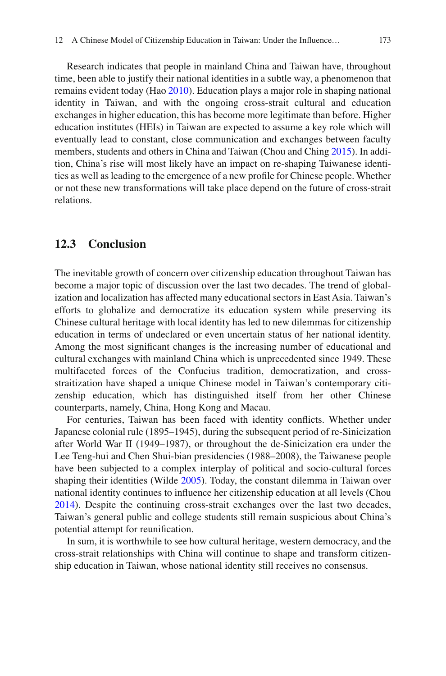Research indicates that people in mainland China and Taiwan have, throughout time, been able to justify their national identities in a subtle way, a phenomenon that remains evident today (Hao 2010). Education plays a major role in shaping national identity in Taiwan, and with the ongoing cross-strait cultural and education exchanges in higher education, this has become more legitimate than before. Higher education institutes (HEIs) in Taiwan are expected to assume a key role which will eventually lead to constant, close communication and exchanges between faculty members, students and others in China and Taiwan (Chou and Ching [2015 \)](#page-11-0). In addition, China's rise will most likely have an impact on re-shaping Taiwanese identities as well as leading to the emergence of a new profile for Chinese people. Whether or not these new transformations will take place depend on the future of cross-strait relations.

#### **12.3 Conclusion**

 The inevitable growth of concern over citizenship education throughout Taiwan has become a major topic of discussion over the last two decades. The trend of globalization and localization has affected many educational sectors in East Asia. Taiwan's efforts to globalize and democratize its education system while preserving its Chinese cultural heritage with local identity has led to new dilemmas for citizenship education in terms of undeclared or even uncertain status of her national identity. Among the most significant changes is the increasing number of educational and cultural exchanges with mainland China which is unprecedented since 1949. These multifaceted forces of the Confucius tradition, democratization, and crossstraitization have shaped a unique Chinese model in Taiwan's contemporary citizenship education, which has distinguished itself from her other Chinese counterparts, namely, China, Hong Kong and Macau.

For centuries, Taiwan has been faced with identity conflicts. Whether under Japanese colonial rule (1895–1945), during the subsequent period of re-Sinicization after World War II (1949–1987), or throughout the de-Sinicization era under the Lee Teng-hui and Chen Shui-bian presidencies (1988–2008), the Taiwanese people have been subjected to a complex interplay of political and socio-cultural forces shaping their identities (Wilde [2005](#page-12-0)). Today, the constant dilemma in Taiwan over national identity continues to influence her citizenship education at all levels (Chou 2014). Despite the continuing cross-strait exchanges over the last two decades, Taiwan's general public and college students still remain suspicious about China's potential attempt for reunification.

 In sum, it is worthwhile to see how cultural heritage, western democracy, and the cross-strait relationships with China will continue to shape and transform citizenship education in Taiwan, whose national identity still receives no consensus.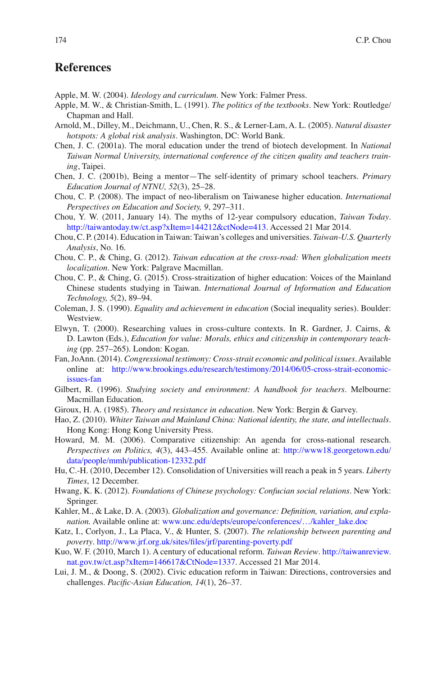#### <span id="page-11-0"></span> **References**

- Apple, M. W. (2004). *Ideology and curriculum* . New York: Falmer Press.
- Apple, M. W., & Christian-Smith, L. (1991). *The politics of the textbooks* . New York: Routledge/ Chapman and Hall.
- Arnold, M., Dilley, M., Deichmann, U., Chen, R. S., & Lerner-Lam, A. L. (2005). *Natural disaster hotspots: A global risk analysis* . Washington, DC: World Bank.
- Chen, J. C. (2001a). The moral education under the trend of biotech development. In *National Taiwan Normal University, international conference of the citizen quality and teachers training* , Taipei.
- Chen, J. C. (2001b), Being a mentor—The self-identity of primary school teachers. *Primary Education Journal of NTNU, 52* (3), 25–28.
- Chou, C. P. (2008). The impact of neo-liberalism on Taiwanese higher education. *International Perspectives on Education and Society, 9, 297–311.*
- Chou, Y. W. (2011, January 14). The myths of 12-year compulsory education, *Taiwan Today* . <http://taiwantoday.tw/ct.asp?xItem=144212&ctNode=413>. Accessed 21 Mar 2014.
- Chou, C. P. (2014). Education in Taiwan: Taiwan's colleges and universities. *Taiwan- U.S. Quarterly Analysis* , No. 16.
- Chou, C. P., & Ching, G. (2012). *Taiwan education at the cross-road: When globalization meets localization* . New York: Palgrave Macmillan.
- Chou, C. P., & Ching, G. (2015). Cross-straitization of higher education: Voices of the Mainland Chinese students studying in Taiwan. *International Journal of Information and Education Technology, 5* (2), 89–94.
- Coleman, J. S. (1990). *Equality and achievement in education* (Social inequality series). Boulder: Westview.
- Elwyn, T. (2000). Researching values in cross-culture contexts. In R. Gardner, J. Cairns, & D. Lawton (Eds.), *Education for value: Morals, ethics and citizenship in contemporary teaching* (pp. 257–265). London: Kogan.
- Fan, JoAnn. (2014). *Congressional testimony: Cross-strait economic and political issues* . Available online at: [http://www.brookings.edu/research/testimony/2014/06/05-cross-strait-economic](http://www.brookings.edu/research/testimony/2014/06/05-cross-strait-economic-issues-fan)[issues-fan](http://www.brookings.edu/research/testimony/2014/06/05-cross-strait-economic-issues-fan)
- Gilbert, R. (1996). *Studying society and environment: A handbook for teachers* . Melbourne: Macmillan Education.
- Giroux, H. A. (1985). *Theory and resistance in education* . New York: Bergin & Garvey.
- Hao, Z. (2010). *Whiter Taiwan and Mainland China: National identity, the state, and intellectuals* . Hong Kong: Hong Kong University Press.
- Howard, M. M. (2006). Comparative citizenship: An agenda for cross-national research. *Perspectives on Politics, 4* (3), 443–455. Available online at: [http://www18.georgetown.edu/](http://www18.georgetown.edu/data/people/mmh/publication-12332.pdf) [data/people/mmh/publication-12332.pdf](http://www18.georgetown.edu/data/people/mmh/publication-12332.pdf)
- Hu, C.-H. (2010, December 12). Consolidation of Universities will reach a peak in 5 years. *Liberty Times* , 12 December.
- Hwang, K. K. (2012). *Foundations of Chinese psychology: Confucian social relations* . New York: Springer.
- Kahler, M., & Lake, D. A. (2003). *Globalization and governance: Definition, variation, and explanation.* Available online at: [www.unc.edu/depts/europe/conferences/…/kahler\\_lake.doc](http://www.unc.edu/depts/europe/conferences/�/kahler_lake.doc)
- Katz, I., Corlyon, J., La Placa, V., & Hunter, S. (2007). *The relationship between parenting and poverty*. http://www.jrf.org.uk/sites/files/jrf/parenting-poverty.pdf
- Kuo, W. F. (2010, March 1). A century of educational reform. *Taiwan Review* . [http://taiwanreview.](http://taiwanreview.nat.gov.tw/ct.asp?xItem=146617&CtNode=1337) [nat.gov.tw/ct.asp?xItem=146617&CtNode=1337.](http://taiwanreview.nat.gov.tw/ct.asp?xItem=146617&CtNode=1337) Accessed 21 Mar 2014.
- Lui, J. M., & Doong, S. (2002). Civic education reform in Taiwan: Directions, controversies and challenges. *Pacific-Asian Education*, 14(1), 26-37.